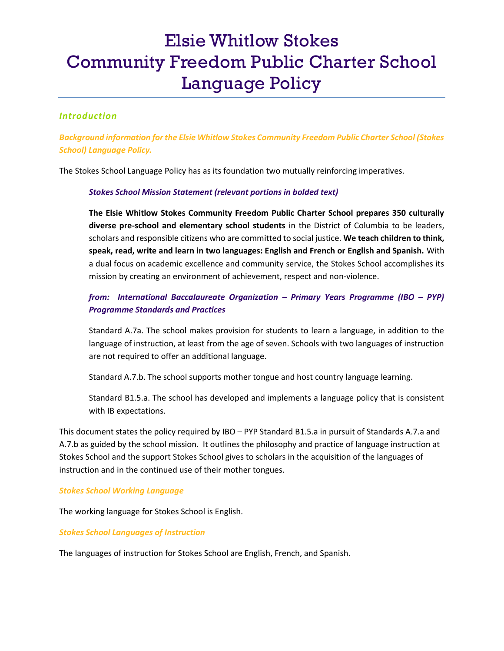# Elsie Whitlow Stokes Community Freedom Public Charter School Language Policy

## Introduction

Background information for the Elsie Whitlow Stokes Community Freedom Public Charter School (Stokes School) Language Policy.

The Stokes School Language Policy has as its foundation two mutually reinforcing imperatives.

#### Stokes School Mission Statement (relevant portions in bolded text)

The Elsie Whitlow Stokes Community Freedom Public Charter School prepares 350 culturally diverse pre-school and elementary school students in the District of Columbia to be leaders, scholars and responsible citizens who are committed to social justice. We teach children to think, speak, read, write and learn in two languages: English and French or English and Spanish. With a dual focus on academic excellence and community service, the Stokes School accomplishes its mission by creating an environment of achievement, respect and non-violence.

# from: International Baccalaureate Organization – Primary Years Programme (IBO – PYP) Programme Standards and Practices

Standard A.7a. The school makes provision for students to learn a language, in addition to the language of instruction, at least from the age of seven. Schools with two languages of instruction are not required to offer an additional language.

Standard A.7.b. The school supports mother tongue and host country language learning.

Standard B1.5.a. The school has developed and implements a language policy that is consistent with IB expectations.

This document states the policy required by IBO – PYP Standard B1.5.a in pursuit of Standards A.7.a and A.7.b as guided by the school mission. It outlines the philosophy and practice of language instruction at Stokes School and the support Stokes School gives to scholars in the acquisition of the languages of instruction and in the continued use of their mother tongues.

#### Stokes School Working Language

The working language for Stokes School is English.

Stokes School Languages of Instruction

The languages of instruction for Stokes School are English, French, and Spanish.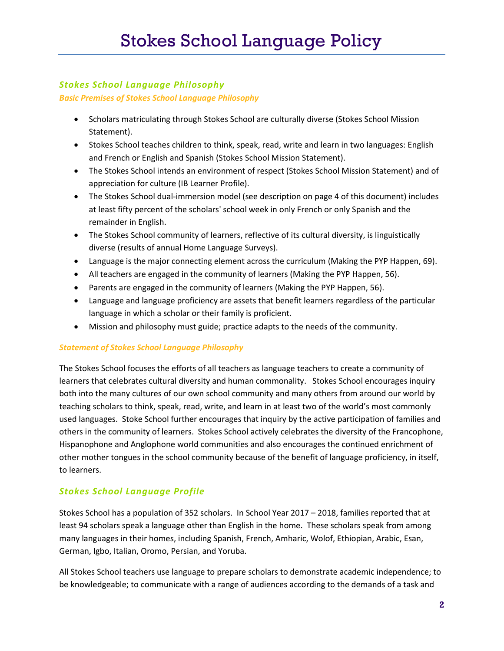# Stokes School Language Philosophy

Basic Premises of Stokes School Language Philosophy

- Scholars matriculating through Stokes School are culturally diverse (Stokes School Mission Statement).
- Stokes School teaches children to think, speak, read, write and learn in two languages: English and French or English and Spanish (Stokes School Mission Statement).
- The Stokes School intends an environment of respect (Stokes School Mission Statement) and of appreciation for culture (IB Learner Profile).
- The Stokes School dual-immersion model (see description on page 4 of this document) includes at least fifty percent of the scholars' school week in only French or only Spanish and the remainder in English.
- The Stokes School community of learners, reflective of its cultural diversity, is linguistically diverse (results of annual Home Language Surveys).
- Language is the major connecting element across the curriculum (Making the PYP Happen, 69).
- All teachers are engaged in the community of learners (Making the PYP Happen, 56).
- Parents are engaged in the community of learners (Making the PYP Happen, 56).
- Language and language proficiency are assets that benefit learners regardless of the particular language in which a scholar or their family is proficient.
- Mission and philosophy must guide; practice adapts to the needs of the community.

### Statement of Stokes School Language Philosophy

The Stokes School focuses the efforts of all teachers as language teachers to create a community of learners that celebrates cultural diversity and human commonality. Stokes School encourages inquiry both into the many cultures of our own school community and many others from around our world by teaching scholars to think, speak, read, write, and learn in at least two of the world's most commonly used languages. Stoke School further encourages that inquiry by the active participation of families and others in the community of learners. Stokes School actively celebrates the diversity of the Francophone, Hispanophone and Anglophone world communities and also encourages the continued enrichment of other mother tongues in the school community because of the benefit of language proficiency, in itself, to learners.

# Stokes School Language Profile

Stokes School has a population of 352 scholars. In School Year 2017 – 2018, families reported that at least 94 scholars speak a language other than English in the home. These scholars speak from among many languages in their homes, including Spanish, French, Amharic, Wolof, Ethiopian, Arabic, Esan, German, Igbo, Italian, Oromo, Persian, and Yoruba.

All Stokes School teachers use language to prepare scholars to demonstrate academic independence; to be knowledgeable; to communicate with a range of audiences according to the demands of a task and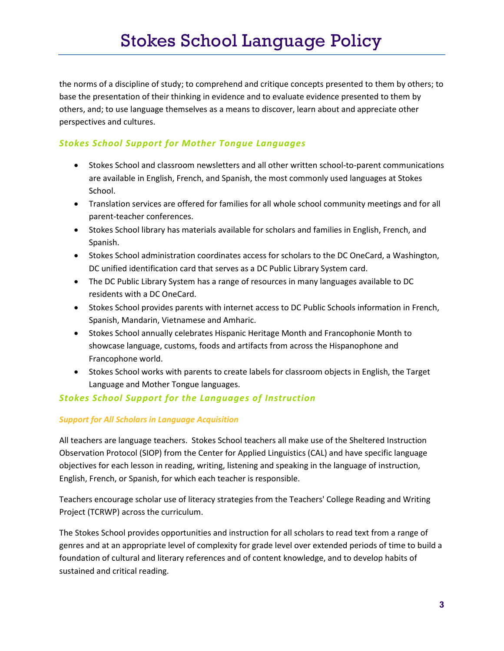the norms of a discipline of study; to comprehend and critique concepts presented to them by others; to base the presentation of their thinking in evidence and to evaluate evidence presented to them by others, and; to use language themselves as a means to discover, learn about and appreciate other perspectives and cultures.

# Stokes School Support for Mother Tongue Languages

- Stokes School and classroom newsletters and all other written school-to-parent communications are available in English, French, and Spanish, the most commonly used languages at Stokes School.
- Translation services are offered for families for all whole school community meetings and for all parent-teacher conferences.
- Stokes School library has materials available for scholars and families in English, French, and Spanish.
- Stokes School administration coordinates access for scholars to the DC OneCard, a Washington, DC unified identification card that serves as a DC Public Library System card.
- The DC Public Library System has a range of resources in many languages available to DC residents with a DC OneCard.
- Stokes School provides parents with internet access to DC Public Schools information in French, Spanish, Mandarin, Vietnamese and Amharic.
- Stokes School annually celebrates Hispanic Heritage Month and Francophonie Month to showcase language, customs, foods and artifacts from across the Hispanophone and Francophone world.
- Stokes School works with parents to create labels for classroom objects in English, the Target Language and Mother Tongue languages.

# Stokes School Support for the Languages of Instruction

#### Support for All Scholars in Language Acquisition

All teachers are language teachers. Stokes School teachers all make use of the Sheltered Instruction Observation Protocol (SIOP) from the Center for Applied Linguistics (CAL) and have specific language objectives for each lesson in reading, writing, listening and speaking in the language of instruction, English, French, or Spanish, for which each teacher is responsible.

Teachers encourage scholar use of literacy strategies from the Teachers' College Reading and Writing Project (TCRWP) across the curriculum.

The Stokes School provides opportunities and instruction for all scholars to read text from a range of genres and at an appropriate level of complexity for grade level over extended periods of time to build a foundation of cultural and literary references and of content knowledge, and to develop habits of sustained and critical reading.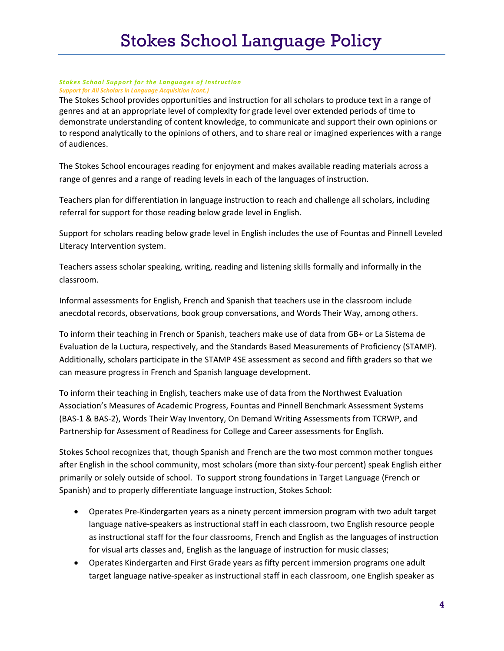#### Stokes School Support for the Languages of Instruction Support for All Scholars in Language Acquisition (cont.)

The Stokes School provides opportunities and instruction for all scholars to produce text in a range of genres and at an appropriate level of complexity for grade level over extended periods of time to demonstrate understanding of content knowledge, to communicate and support their own opinions or to respond analytically to the opinions of others, and to share real or imagined experiences with a range of audiences.

The Stokes School encourages reading for enjoyment and makes available reading materials across a range of genres and a range of reading levels in each of the languages of instruction.

Teachers plan for differentiation in language instruction to reach and challenge all scholars, including referral for support for those reading below grade level in English.

Support for scholars reading below grade level in English includes the use of Fountas and Pinnell Leveled Literacy Intervention system.

Teachers assess scholar speaking, writing, reading and listening skills formally and informally in the classroom.

Informal assessments for English, French and Spanish that teachers use in the classroom include anecdotal records, observations, book group conversations, and Words Their Way, among others.

To inform their teaching in French or Spanish, teachers make use of data from GB+ or La Sistema de Evaluation de la Luctura, respectively, and the Standards Based Measurements of Proficiency (STAMP). Additionally, scholars participate in the STAMP 4SE assessment as second and fifth graders so that we can measure progress in French and Spanish language development.

To inform their teaching in English, teachers make use of data from the Northwest Evaluation Association's Measures of Academic Progress, Fountas and Pinnell Benchmark Assessment Systems (BAS-1 & BAS-2), Words Their Way Inventory, On Demand Writing Assessments from TCRWP, and Partnership for Assessment of Readiness for College and Career assessments for English.

Stokes School recognizes that, though Spanish and French are the two most common mother tongues after English in the school community, most scholars (more than sixty-four percent) speak English either primarily or solely outside of school. To support strong foundations in Target Language (French or Spanish) and to properly differentiate language instruction, Stokes School:

- Operates Pre-Kindergarten years as a ninety percent immersion program with two adult target language native-speakers as instructional staff in each classroom, two English resource people as instructional staff for the four classrooms, French and English as the languages of instruction for visual arts classes and, English as the language of instruction for music classes;
- Operates Kindergarten and First Grade years as fifty percent immersion programs one adult target language native-speaker as instructional staff in each classroom, one English speaker as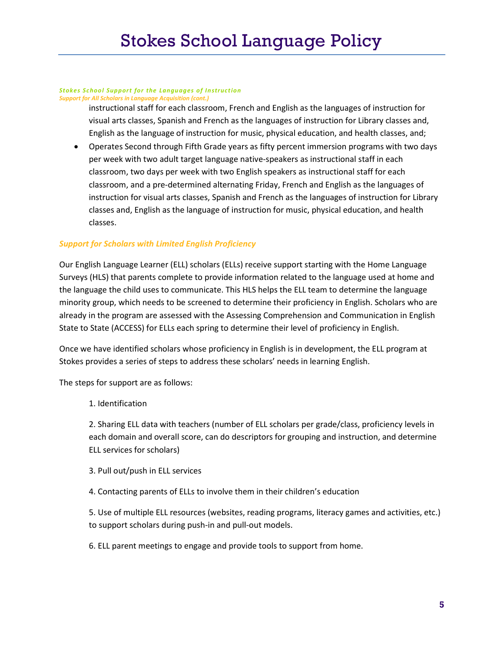#### Stokes School Support for the Languages of Instruction Support for All Scholars in Language Acquisition (cont.)

instructional staff for each classroom, French and English as the languages of instruction for visual arts classes, Spanish and French as the languages of instruction for Library classes and, English as the language of instruction for music, physical education, and health classes, and;

 Operates Second through Fifth Grade years as fifty percent immersion programs with two days per week with two adult target language native-speakers as instructional staff in each classroom, two days per week with two English speakers as instructional staff for each classroom, and a pre-determined alternating Friday, French and English as the languages of instruction for visual arts classes, Spanish and French as the languages of instruction for Library classes and, English as the language of instruction for music, physical education, and health classes.

### Support for Scholars with Limited English Proficiency

Our English Language Learner (ELL) scholars (ELLs) receive support starting with the Home Language Surveys (HLS) that parents complete to provide information related to the language used at home and the language the child uses to communicate. This HLS helps the ELL team to determine the language minority group, which needs to be screened to determine their proficiency in English. Scholars who are already in the program are assessed with the Assessing Comprehension and Communication in English State to State (ACCESS) for ELLs each spring to determine their level of proficiency in English.

Once we have identified scholars whose proficiency in English is in development, the ELL program at Stokes provides a series of steps to address these scholars' needs in learning English.

The steps for support are as follows:

1. Identification

2. Sharing ELL data with teachers (number of ELL scholars per grade/class, proficiency levels in each domain and overall score, can do descriptors for grouping and instruction, and determine ELL services for scholars)

- 3. Pull out/push in ELL services
- 4. Contacting parents of ELLs to involve them in their children's education

5. Use of multiple ELL resources (websites, reading programs, literacy games and activities, etc.) to support scholars during push-in and pull-out models.

6. ELL parent meetings to engage and provide tools to support from home.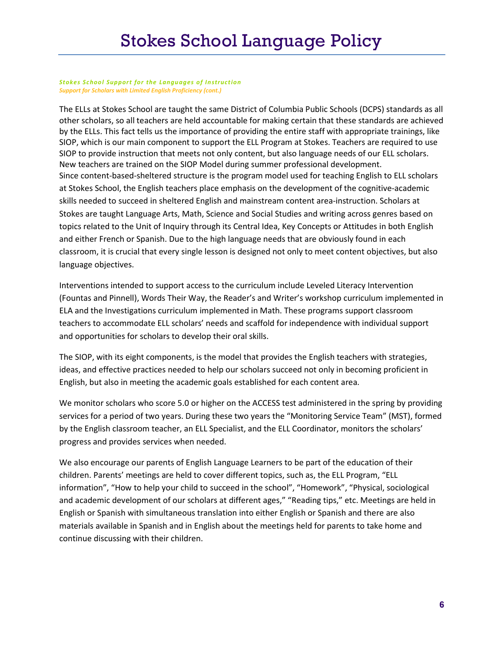#### Stokes School Support for the Languages of Instruction Support for Scholars with Limited English Proficiency (cont.)

The ELLs at Stokes School are taught the same District of Columbia Public Schools (DCPS) standards as all other scholars, so all teachers are held accountable for making certain that these standards are achieved by the ELLs. This fact tells us the importance of providing the entire staff with appropriate trainings, like SIOP, which is our main component to support the ELL Program at Stokes. Teachers are required to use SIOP to provide instruction that meets not only content, but also language needs of our ELL scholars. New teachers are trained on the SIOP Model during summer professional development. Since content-based-sheltered structure is the program model used for teaching English to ELL scholars at Stokes School, the English teachers place emphasis on the development of the cognitive-academic skills needed to succeed in sheltered English and mainstream content area-instruction. Scholars at Stokes are taught Language Arts, Math, Science and Social Studies and writing across genres based on topics related to the Unit of Inquiry through its Central Idea, Key Concepts or Attitudes in both English and either French or Spanish. Due to the high language needs that are obviously found in each classroom, it is crucial that every single lesson is designed not only to meet content objectives, but also language objectives.

Interventions intended to support access to the curriculum include Leveled Literacy Intervention (Fountas and Pinnell), Words Their Way, the Reader's and Writer's workshop curriculum implemented in ELA and the Investigations curriculum implemented in Math. These programs support classroom teachers to accommodate ELL scholars' needs and scaffold for independence with individual support and opportunities for scholars to develop their oral skills.

The SIOP, with its eight components, is the model that provides the English teachers with strategies, ideas, and effective practices needed to help our scholars succeed not only in becoming proficient in English, but also in meeting the academic goals established for each content area.

We monitor scholars who score 5.0 or higher on the ACCESS test administered in the spring by providing services for a period of two years. During these two years the "Monitoring Service Team" (MST), formed by the English classroom teacher, an ELL Specialist, and the ELL Coordinator, monitors the scholars' progress and provides services when needed.

We also encourage our parents of English Language Learners to be part of the education of their children. Parents' meetings are held to cover different topics, such as, the ELL Program, "ELL information", "How to help your child to succeed in the school", "Homework", "Physical, sociological and academic development of our scholars at different ages," "Reading tips," etc. Meetings are held in English or Spanish with simultaneous translation into either English or Spanish and there are also materials available in Spanish and in English about the meetings held for parents to take home and continue discussing with their children.